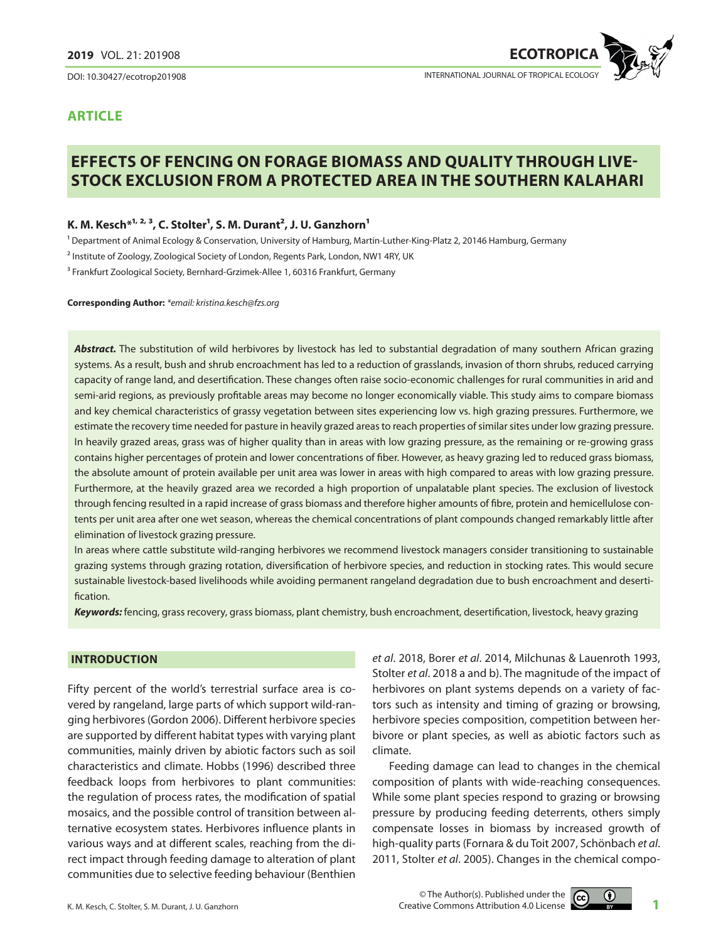DOI: 10.30427/ecotrop201908



# **article**

# **Effects of fencing on forage biomass and quality through livestock exclusion from a protected area in the southern Kalahari**

# K. M. Kesch<sup>\*1, 2, 3</sup>, C. Stolter<sup>1</sup>, S. M. Durant<sup>2</sup>, J. U. Ganzhorn<sup>1</sup>

1 Department of Animal Ecology & Conservation, University of Hamburg, Martin-Luther-King-Platz 2, 20146 Hamburg, Germany

<sup>2</sup> Institute of Zoology, Zoological Society of London, Regents Park, London, NW1 4RY, UK

<sup>3</sup> Frankfurt Zoological Society, Bernhard-Grzimek-Allee 1, 60316 Frankfurt, Germany

**Corresponding Author:** *\*email: kristina.kesch@fzs.org* 

*Abstract.* The substitution of wild herbivores by livestock has led to substantial degradation of many southern African grazing systems. As a result, bush and shrub encroachment has led to a reduction of grasslands, invasion of thorn shrubs, reduced carrying capacity of range land, and desertification. These changes often raise socio-economic challenges for rural communities in arid and semi-arid regions, as previously profitable areas may become no longer economically viable. This study aims to compare biomass and key chemical characteristics of grassy vegetation between sites experiencing low vs. high grazing pressures. Furthermore, we estimate the recovery time needed for pasture in heavily grazed areas to reach properties of similar sites under low grazing pressure. In heavily grazed areas, grass was of higher quality than in areas with low grazing pressure, as the remaining or re-growing grass contains higher percentages of protein and lower concentrations of fiber. However, as heavy grazing led to reduced grass biomass, the absolute amount of protein available per unit area was lower in areas with high compared to areas with low grazing pressure. Furthermore, at the heavily grazed area we recorded a high proportion of unpalatable plant species. The exclusion of livestock through fencing resulted in a rapid increase of grass biomass and therefore higher amounts of fibre, protein and hemicellulose contents per unit area after one wet season, whereas the chemical concentrations of plant compounds changed remarkably little after elimination of livestock grazing pressure.

In areas where cattle substitute wild-ranging herbivores we recommend livestock managers consider transitioning to sustainable grazing systems through grazing rotation, diversification of herbivore species, and reduction in stocking rates. This would secure sustainable livestock-based livelihoods while avoiding permanent rangeland degradation due to bush encroachment and desertification.

*Keywords:* fencing, grass recovery, grass biomass, plant chemistry, bush encroachment, desertification, livestock, heavy grazing

#### **Introduction**

Fifty percent of the world's terrestrial surface area is covered by rangeland, large parts of which support wild-ranging herbivores (Gordon 2006). Different herbivore species are supported by different habitat types with varying plant communities, mainly driven by abiotic factors such as soil characteristics and climate. Hobbs (1996) described three feedback loops from herbivores to plant communities: the regulation of process rates, the modification of spatial mosaics, and the possible control of transition between alternative ecosystem states. Herbivores influence plants in various ways and at different scales, reaching from the direct impact through feeding damage to alteration of plant communities due to selective feeding behaviour (Benthien

*et al*. 2018, Borer *et al*. 2014, Milchunas & Lauenroth 1993, Stolter *et al*. 2018 a and b). The magnitude of the impact of herbivores on plant systems depends on a variety of factors such as intensity and timing of grazing or browsing, herbivore species composition, competition between herbivore or plant species, as well as abiotic factors such as climate.

Feeding damage can lead to changes in the chemical composition of plants with wide-reaching consequences. While some plant species respond to grazing or browsing pressure by producing feeding deterrents, others simply compensate losses in biomass by increased growth of high-quality parts (Fornara & du Toit 2007, Schönbach *et al*. 2011, Stolter *et al*. 2005). Changes in the chemical compo-

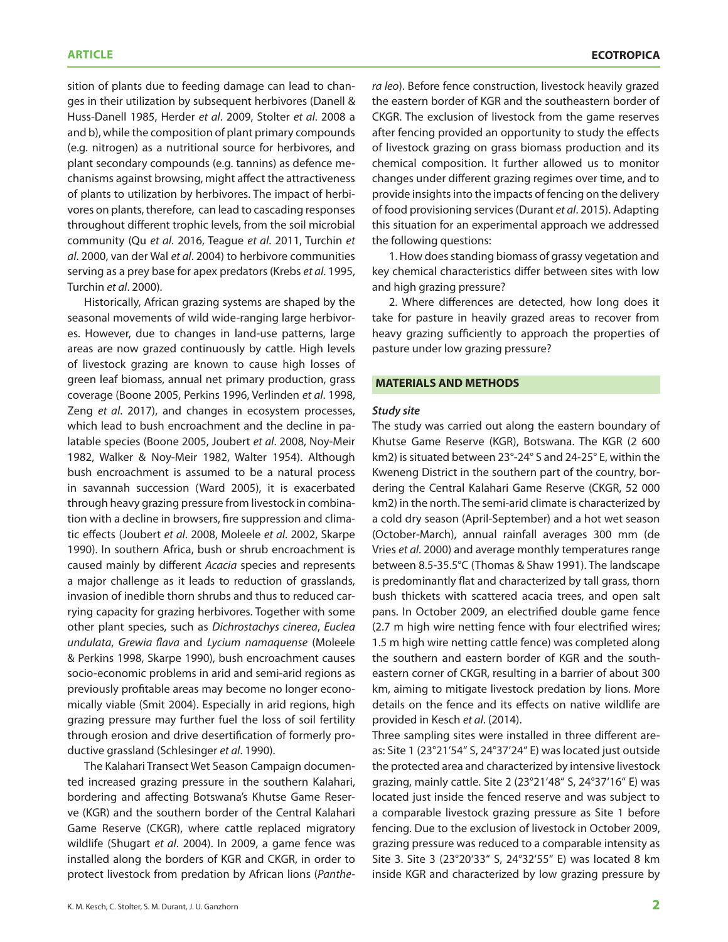sition of plants due to feeding damage can lead to changes in their utilization by subsequent herbivores (Danell & Huss-Danell 1985, Herder *et al*. 2009, Stolter *et al*. 2008 a and b), while the composition of plant primary compounds (e.g. nitrogen) as a nutritional source for herbivores, and plant secondary compounds (e.g. tannins) as defence mechanisms against browsing, might affect the attractiveness of plants to utilization by herbivores. The impact of herbivores on plants, therefore, can lead to cascading responses throughout different trophic levels, from the soil microbial community (Qu *et al*. 2016, Teague *et al*. 2011, Turchin *et al*. 2000, van der Wal *et al*. 2004) to herbivore communities serving as a prey base for apex predators (Krebs *et al*. 1995, Turchin *et al*. 2000).

Historically, African grazing systems are shaped by the seasonal movements of wild wide-ranging large herbivores. However, due to changes in land-use patterns, large areas are now grazed continuously by cattle. High levels of livestock grazing are known to cause high losses of green leaf biomass, annual net primary production, grass coverage (Boone 2005, Perkins 1996, Verlinden *et al*. 1998, Zeng *et al*. 2017), and changes in ecosystem processes, which lead to bush encroachment and the decline in palatable species (Boone 2005, Joubert *et al*. 2008, Noy-Meir 1982, Walker & Noy-Meir 1982, Walter 1954). Although bush encroachment is assumed to be a natural process in savannah succession (Ward 2005), it is exacerbated through heavy grazing pressure from livestock in combination with a decline in browsers, fire suppression and climatic effects (Joubert *et al*. 2008, Moleele *et al*. 2002, Skarpe 1990). In southern Africa, bush or shrub encroachment is caused mainly by different *Acacia* species and represents a major challenge as it leads to reduction of grasslands, invasion of inedible thorn shrubs and thus to reduced carrying capacity for grazing herbivores. Together with some other plant species, such as *Dichrostachys cinerea*, *Euclea undulata*, *Grewia flava* and *Lycium namaquense* (Moleele & Perkins 1998, Skarpe 1990), bush encroachment causes socio-economic problems in arid and semi-arid regions as previously profitable areas may become no longer economically viable (Smit 2004). Especially in arid regions, high grazing pressure may further fuel the loss of soil fertility through erosion and drive desertification of formerly productive grassland (Schlesinger *et al*. 1990).

The Kalahari Transect Wet Season Campaign documented increased grazing pressure in the southern Kalahari, bordering and affecting Botswana's Khutse Game Reserve (KGR) and the southern border of the Central Kalahari Game Reserve (CKGR), where cattle replaced migratory wildlife (Shugart *et al*. 2004). In 2009, a game fence was installed along the borders of KGR and CKGR, in order to protect livestock from predation by African lions (*Panthe-* *ra leo*). Before fence construction, livestock heavily grazed the eastern border of KGR and the southeastern border of CKGR. The exclusion of livestock from the game reserves after fencing provided an opportunity to study the effects of livestock grazing on grass biomass production and its chemical composition. It further allowed us to monitor changes under different grazing regimes over time, and to provide insights into the impacts of fencing on the delivery of food provisioning services (Durant *et al*. 2015). Adapting this situation for an experimental approach we addressed the following questions:

1. How does standing biomass of grassy vegetation and key chemical characteristics differ between sites with low and high grazing pressure?

2. Where differences are detected, how long does it take for pasture in heavily grazed areas to recover from heavy grazing sufficiently to approach the properties of pasture under low grazing pressure?

#### **MATERIALS AND METHODS**

#### *Study site*

The study was carried out along the eastern boundary of Khutse Game Reserve (KGR), Botswana. The KGR (2 600 km2) is situated between 23°-24° S and 24-25° E, within the Kweneng District in the southern part of the country, bordering the Central Kalahari Game Reserve (CKGR, 52 000 km2) in the north. The semi-arid climate is characterized by a cold dry season (April-September) and a hot wet season (October-March), annual rainfall averages 300 mm (de Vries *et al*. 2000) and average monthly temperatures range between 8.5-35.5°C (Thomas & Shaw 1991). The landscape is predominantly flat and characterized by tall grass, thorn bush thickets with scattered acacia trees, and open salt pans. In October 2009, an electrified double game fence (2.7 m high wire netting fence with four electrified wires; 1.5 m high wire netting cattle fence) was completed along the southern and eastern border of KGR and the southeastern corner of CKGR, resulting in a barrier of about 300 km, aiming to mitigate livestock predation by lions. More details on the fence and its effects on native wildlife are provided in Kesch *et al*. (2014).

Three sampling sites were installed in three different areas: Site 1 (23°21'54" S, 24°37'24" E) was located just outside the protected area and characterized by intensive livestock grazing, mainly cattle. Site 2 (23°21'48" S, 24°37'16" E) was located just inside the fenced reserve and was subject to a comparable livestock grazing pressure as Site 1 before fencing. Due to the exclusion of livestock in October 2009, grazing pressure was reduced to a comparable intensity as Site 3. Site 3 (23°20'33" S, 24°32'55" E) was located 8 km inside KGR and characterized by low grazing pressure by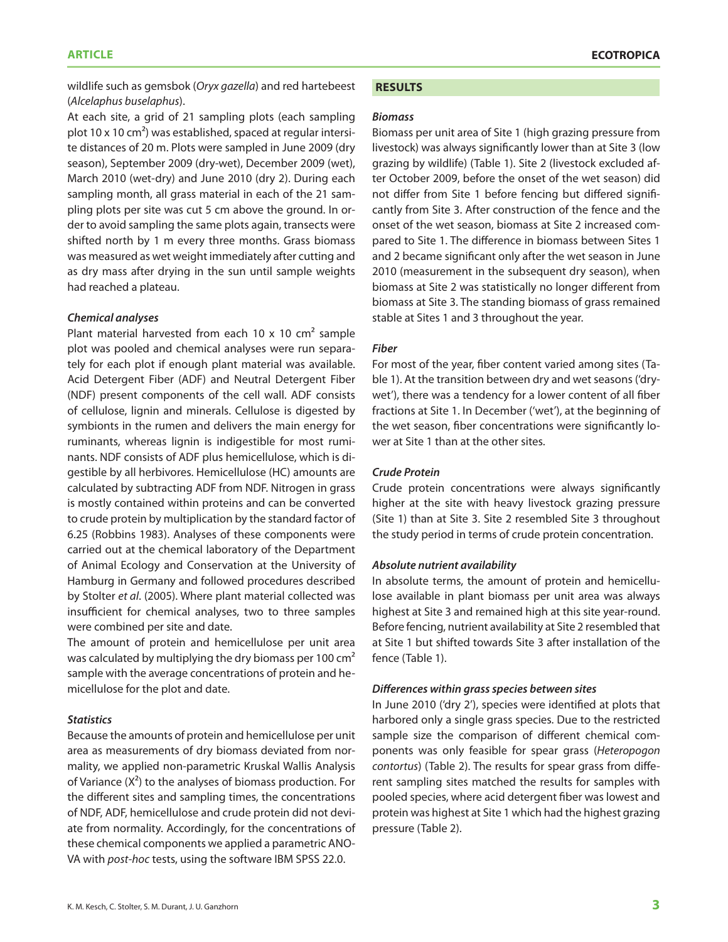#### **article ECOTROPICAL ECONOMIC SECONOMIC SECONOMIC SECONOMIC SECONOMIC SECONOMIC SECONOMIC SECONOMIC SECONOMIC SECONOMIC SECONOMIC SECONOMIC SECONOMIC SECONOMIC SECONOMIC SECONOMIC SECONOMIC SECONOMIC SECONOMIC SECONOMIC**

wildlife such as gemsbok (*Oryx gazella*) and red hartebeest (*Alcelaphus buselaphus*).

At each site, a grid of 21 sampling plots (each sampling plot 10 x 10 cm<sup>2</sup>) was established, spaced at regular intersite distances of 20 m. Plots were sampled in June 2009 (dry season), September 2009 (dry-wet), December 2009 (wet), March 2010 (wet-dry) and June 2010 (dry 2). During each sampling month, all grass material in each of the 21 sampling plots per site was cut 5 cm above the ground. In order to avoid sampling the same plots again, transects were shifted north by 1 m every three months. Grass biomass was measured as wet weight immediately after cutting and as dry mass after drying in the sun until sample weights had reached a plateau.

#### *Chemical analyses*

Plant material harvested from each 10 x 10  $cm<sup>2</sup>$  sample plot was pooled and chemical analyses were run separately for each plot if enough plant material was available. Acid Detergent Fiber (ADF) and Neutral Detergent Fiber (NDF) present components of the cell wall. ADF consists of cellulose, lignin and minerals. Cellulose is digested by symbionts in the rumen and delivers the main energy for ruminants, whereas lignin is indigestible for most ruminants. NDF consists of ADF plus hemicellulose, which is digestible by all herbivores. Hemicellulose (HC) amounts are calculated by subtracting ADF from NDF. Nitrogen in grass is mostly contained within proteins and can be converted to crude protein by multiplication by the standard factor of 6.25 (Robbins 1983). Analyses of these components were carried out at the chemical laboratory of the Department of Animal Ecology and Conservation at the University of Hamburg in Germany and followed procedures described by Stolter *et al*. (2005). Where plant material collected was insufficient for chemical analyses, two to three samples were combined per site and date.

The amount of protein and hemicellulose per unit area was calculated by multiplying the dry biomass per 100 cm<sup>2</sup> sample with the average concentrations of protein and hemicellulose for the plot and date.

## *Statistics*

Because the amounts of protein and hemicellulose per unit area as measurements of dry biomass deviated from normality, we applied non-parametric Kruskal Wallis Analysis of Variance  $(X^2)$  to the analyses of biomass production. For the different sites and sampling times, the concentrations of NDF, ADF, hemicellulose and crude protein did not deviate from normality. Accordingly, for the concentrations of these chemical components we applied a parametric ANO-VA with *post-hoc* tests, using the software IBM SPSS 22.0.

#### **Results**

#### *Biomass*

Biomass per unit area of Site 1 (high grazing pressure from livestock) was always significantly lower than at Site 3 (low grazing by wildlife) (Table 1). Site 2 (livestock excluded after October 2009, before the onset of the wet season) did not differ from Site 1 before fencing but differed significantly from Site 3. After construction of the fence and the onset of the wet season, biomass at Site 2 increased compared to Site 1. The difference in biomass between Sites 1 and 2 became significant only after the wet season in June 2010 (measurement in the subsequent dry season), when biomass at Site 2 was statistically no longer different from biomass at Site 3. The standing biomass of grass remained stable at Sites 1 and 3 throughout the year.

#### *Fiber*

For most of the year, fiber content varied among sites (Table 1). At the transition between dry and wet seasons ('drywet'), there was a tendency for a lower content of all fiber fractions at Site 1. In December ('wet'), at the beginning of the wet season, fiber concentrations were significantly lower at Site 1 than at the other sites.

# *Crude Protein*

Crude protein concentrations were always significantly higher at the site with heavy livestock grazing pressure (Site 1) than at Site 3. Site 2 resembled Site 3 throughout the study period in terms of crude protein concentration.

#### *Absolute nutrient availability*

In absolute terms, the amount of protein and hemicellulose available in plant biomass per unit area was always highest at Site 3 and remained high at this site year-round. Before fencing, nutrient availability at Site 2 resembled that at Site 1 but shifted towards Site 3 after installation of the fence (Table 1).

#### *Differences within grass species between sites*

In June 2010 ('dry 2'), species were identified at plots that harbored only a single grass species. Due to the restricted sample size the comparison of different chemical components was only feasible for spear grass (*Heteropogon contortus*) (Table 2). The results for spear grass from different sampling sites matched the results for samples with pooled species, where acid detergent fiber was lowest and protein was highest at Site 1 which had the highest grazing pressure (Table 2).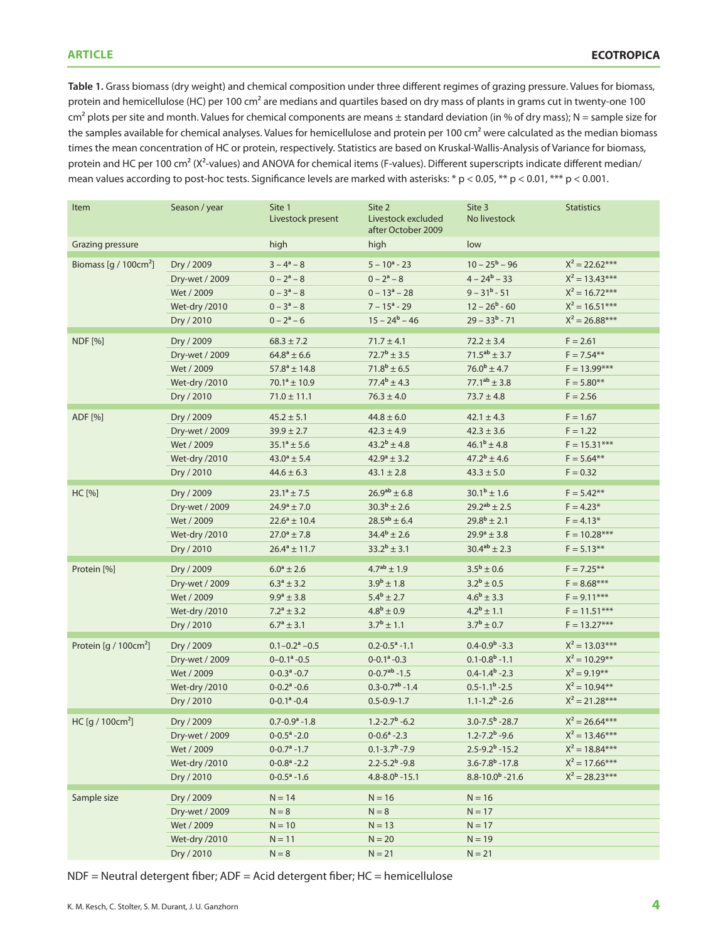**Table 1.** Grass biomass (dry weight) and chemical composition under three different regimes of grazing pressure. Values for biomass, protein and hemicellulose (HC) per 100 cm<sup>2</sup> are medians and quartiles based on dry mass of plants in grams cut in twenty-one 100  $cm<sup>2</sup>$  plots per site and month. Values for chemical components are means ± standard deviation (in % of dry mass); N = sample size for the samples available for chemical analyses. Values for hemicellulose and protein per 100 cm<sup>2</sup> were calculated as the median biomass times the mean concentration of HC or protein, respectively. Statistics are based on Kruskal-Wallis-Analysis of Variance for biomass, protein and HC per 100 cm² (Χ²-values) and ANOVA for chemical items (F-values). Different superscripts indicate different median/ mean values according to post-hoc tests. Significance levels are marked with asterisks: \* p < 0.05, \*\* p < 0.01, \*\*\* p < 0.001.

| Item                        | Season / year  | Site 1<br>Livestock present     | Site 2<br>Livestock excluded<br>after October 2009 | Site 3<br>No livestock          | <b>Statistics</b> |
|-----------------------------|----------------|---------------------------------|----------------------------------------------------|---------------------------------|-------------------|
| Grazing pressure            |                | high                            | high                                               | low                             |                   |
| Biomass [g / $100cm2$ ]     | Dry / 2009     | $3 - 4^a - 8$                   | $5 - 10a - 23$                                     | $10 - 25^b - 96$                | $X^2 = 22.62***$  |
|                             | Dry-wet / 2009 | $0 - 2^a - 8$                   | $0 - 2^a - 8$                                      | $4 - 24^b - 33$                 | $X^2 = 13.43***$  |
|                             | Wet / 2009     | $0 - 3^a - 8$                   | $0 - 13a - 28$                                     | $9 - 31b - 51$                  | $X^2 = 16.72***$  |
|                             | Wet-dry /2010  | $0 - 3^a - 8$                   | $7 - 15a - 29$                                     | $12 - 26b - 60$                 | $X^2 = 16.51***$  |
|                             | Dry / 2010     | $0 - 2^a - 6$                   | $15 - 24^b - 46$                                   | $29 - 33b - 71$                 | $X^2 = 26.88***$  |
| <b>NDF</b> [%]              | Dry / 2009     | $68.3 \pm 7.2$                  | $71.7 \pm 4.1$                                     | $72.2 \pm 3.4$                  | $F = 2.61$        |
|                             | Dry-wet / 2009 | $64.8^a \pm 6.6$                | $72.7^b \pm 3.5$                                   | $71.5^{ab} \pm 3.7$             | $F = 7.54***$     |
|                             | Wet / 2009     | $57.8^a \pm 14.8$               | $71.8^b \pm 6.5$                                   | $76.0^b \pm 4.7$                | $F = 13.99***$    |
|                             | Wet-dry /2010  | $70.1^a \pm 10.9$               | $77.4^b \pm 4.3$                                   | $77.1^{ab} \pm 3.8$             | $F = 5.80***$     |
|                             | Dry / 2010     | $71.0 \pm 11.1$                 | $76.3 \pm 4.0$                                     | $73.7 \pm 4.8$                  | $F = 2.56$        |
|                             |                |                                 |                                                    |                                 |                   |
| ADF [%]                     | Dry / 2009     | $45.2 \pm 5.1$                  | $44.8 \pm 6.0$                                     | $42.1 \pm 4.3$                  | $F = 1.67$        |
|                             | Dry-wet / 2009 | $39.9 \pm 2.7$                  | $42.3 \pm 4.9$                                     | $42.3 \pm 3.6$                  | $F = 1.22$        |
|                             | Wet / 2009     | $35.1^a \pm 5.6$                | $43.2^b \pm 4.8$                                   | $46.1^b \pm 4.8$                | $F = 15.31***$    |
|                             | Wet-dry /2010  | $43.0^a \pm 5.4$                | $42.9^{\circ} \pm 3.2$                             | $47.2^b \pm 4.6$                | $F = 5.64***$     |
|                             | Dry / 2010     | $44.6 \pm 6.3$                  | $43.1 \pm 2.8$                                     | $43.3 \pm 5.0$                  | $F = 0.32$        |
| HC [%]                      | Dry / 2009     | $23.1^a \pm 7.5$                | $26.9^{ab} \pm 6.8$                                | $30.1^b \pm 1.6$                | $F = 5.42***$     |
|                             | Dry-wet / 2009 | $24.9^{\circ} \pm 7.0$          | $30.3^b \pm 2.6$                                   | $29.2^{ab} \pm 2.5$             | $F = 4.23*$       |
|                             | Wet / 2009     | $22.6^a \pm 10.4$               | $28.5^{ab} \pm 6.4$                                | $29.8^b \pm 2.1$                | $F = 4.13*$       |
|                             | Wet-dry /2010  | $27.0^a \pm 7.8$                | $34.4^b \pm 2.6$                                   | $29.9^a \pm 3.8$                | $F = 10.28***$    |
|                             | Dry / 2010     | $26.4^a \pm 11.7$               | $33.2^b \pm 3.1$                                   | $30.4^{ab} \pm 2.3$             | $F = 5.13***$     |
| Protein [%]                 | Dry / 2009     | $6.0^a \pm 2.6$                 | $4.7^{ab}$ ± 1.9                                   | $3.5^b \pm 0.6$                 | $F = 7.25***$     |
|                             | Dry-wet / 2009 | $6.3^a \pm 3.2$                 | $3.9^b \pm 1.8$                                    | $3.2^b \pm 0.5$                 | $F = 8.68***$     |
|                             | Wet / 2009     | $9.9^{\rm a} \pm 3.8$           | $5.4^b \pm 2.7$                                    | $4.6^b \pm 3.3$                 | $F = 9.11***$     |
|                             | Wet-dry /2010  | $7.2^a \pm 3.2$                 | $4.8^{\rm b} \pm 0.9$                              | $4.2^b \pm 1.1$                 | $F = 11.51***$    |
|                             | Dry / 2010     | $6.7^{\rm a} \pm 3.1$           | $3.7^b \pm 1.1$                                    | $3.7^b \pm 0.7$                 | $F = 13.27***$    |
|                             |                |                                 |                                                    |                                 |                   |
| Protein $[g / 100 cm2]$     | Dry / 2009     | $0.1 - 0.2$ <sup>a</sup> $-0.5$ | $0.2 - 0.5$ <sup>a</sup> - 1.1                     | $0.4 - 0.9b - 3.3$              | $X^2 = 13.03***$  |
|                             | Dry-wet / 2009 | $0 - 0.1$ <sup>a</sup> - 0.5    | $0-0.1^a - 0.3$                                    | $0.1 - 0.8b - 1.1$              | $X^2 = 10.29***$  |
|                             | Wet / 2009     | $0-0.3$ <sup>a</sup> $-0.7$     | $0 - 0.7ab - 1.5$                                  | $0.4 - 1.4b - 2.3$              | $X^2 = 9.19***$   |
|                             | Wet-dry /2010  | $0 - 0.2$ <sup>a</sup> $-0.6$   | $0.3 - 0.7ab - 1.4$                                | $0.5 - 1.1b - 2.5$              | $X^2 = 10.94**$   |
|                             | Dry / 2010     | $0 - 0.1$ <sup>a</sup> $-0.4$   | $0.5 - 0.9 - 1.7$                                  | $1.1 - 1.2b - 2.6$              | $X^2 = 21.28***$  |
| HC[g / 100cm <sup>2</sup> ] | Dry / 2009     | $0.7 - 0.9a - 1.8$              | $1.2 - 2.7b - 6.2$                                 | $3.0 - 7.5b - 28.7$             | $X^2 = 26.64***$  |
|                             | Dry-wet / 2009 | $0 - 0.5^a - 2.0$               | $0 - 0.6$ <sup>a</sup> - 2.3                       | $1.2 - 7.2^b - 9.6$             | $X^2 = 13.46***$  |
|                             | Wet / 2009     | $0 - 0.7$ <sup>a</sup> $-1.7$   | $0.1 - 3.7b - 7.9$                                 | $2.5 - 9.2^b - 15.2$            | $X^2 = 18.84***$  |
|                             | Wet-dry /2010  | $0 - 0.8$ <sup>a</sup> $-2.2$   | $2.2 - 5.2b - 9.8$                                 | $3.6 - 7.8$ <sup>b</sup> - 17.8 | $X^2 = 17.66***$  |
|                             | Dry / 2010     | $0 - 0.5^a - 1.6$               | $4.8 - 8.0b - 15.1$                                | $8.8 - 10.0b - 21.6$            | $X^2 = 28.23***$  |
| Sample size                 | Dry / 2009     | $N = 14$                        | $N = 16$                                           | $N = 16$                        |                   |
|                             | Dry-wet / 2009 | $N = 8$                         | $N = 8$                                            | $N = 17$                        |                   |
|                             | Wet / 2009     | $N = 10$                        | $N = 13$                                           | $N = 17$                        |                   |
|                             | Wet-dry /2010  | $N = 11$                        | $N = 20$                                           | $N = 19$                        |                   |
|                             | Dry / 2010     | $N = 8$                         | $N = 21$                                           | $N = 21$                        |                   |

NDF = Neutral detergent fiber; ADF = Acid detergent fiber; HC = hemicellulose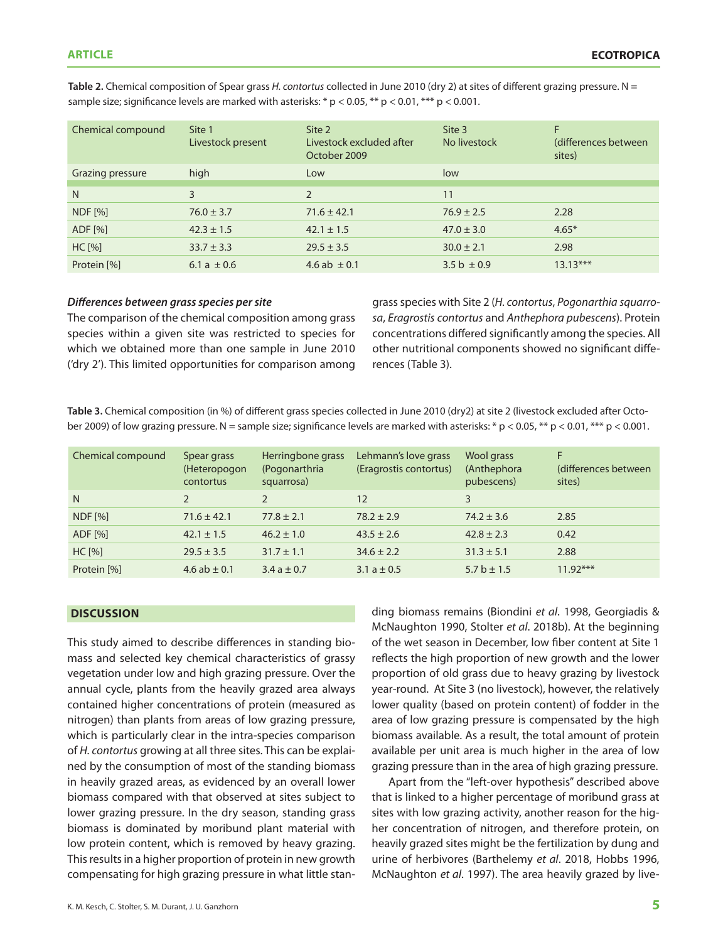| Chemical compound | Site 1<br>Livestock present | Site 2<br>Livestock excluded after<br>October 2009 | Site 3<br>No livestock | F<br>(differences between)<br>sites) |
|-------------------|-----------------------------|----------------------------------------------------|------------------------|--------------------------------------|
| Grazing pressure  | high                        | Low                                                | low                    |                                      |
| N                 | 3                           | $\overline{2}$                                     | 11                     |                                      |
| <b>NDF</b> [%]    | $76.0 \pm 3.7$              | $71.6 \pm 42.1$                                    | $76.9 \pm 2.5$         | 2.28                                 |
| ADF [%]           | $42.3 \pm 1.5$              | $42.1 \pm 1.5$                                     | $47.0 \pm 3.0$         | $4.65*$                              |
| HC [%]            | $33.7 \pm 3.3$              | $29.5 \pm 3.5$                                     | $30.0 \pm 2.1$         | 2.98                                 |
| Protein [%]       | 6.1 a $\pm$ 0.6             | 4.6 ab $\pm$ 0.1                                   | 3.5 b $\pm$ 0.9        | $13.13***$                           |

**Table 2.** Chemical composition of Spear grass *H. contortus* collected in June 2010 (dry 2) at sites of different grazing pressure. N = sample size; significance levels are marked with asterisks:  $*$  p < 0.05,  $**$  p < 0.01,  $***$  p < 0.001.

### *Differences between grass species per site*

The comparison of the chemical composition among grass species within a given site was restricted to species for which we obtained more than one sample in June 2010 ('dry 2'). This limited opportunities for comparison among grass species with Site 2 (*H. contortus*, *Pogonarthia squarrosa*, *Eragrostis contortus* and *Anthephora pubescens*). Protein concentrations differed significantly among the species. All other nutritional components showed no significant differences (Table 3).

**Table 3.** Chemical composition (in %) of different grass species collected in June 2010 (dry2) at site 2 (livestock excluded after October 2009) of low grazing pressure. N = sample size; significance levels are marked with asterisks: \* p < 0.05, \*\* p < 0.01, \*\*\* p < 0.001.

| Chemical compound | Spear grass<br>(Heteropogon<br>contortus | Herringbone grass<br>(Pogonarthria<br>squarrosa) | Lehmann's love grass<br>(Eragrostis contortus) | Wool grass<br>(Anthephora<br>pubescens) | F<br>(differences between)<br>sites) |
|-------------------|------------------------------------------|--------------------------------------------------|------------------------------------------------|-----------------------------------------|--------------------------------------|
| N                 | $\mathcal{P}$                            |                                                  | 12                                             | 3                                       |                                      |
| <b>NDF</b> [%]    | $71.6 \pm 42.1$                          | $77.8 \pm 2.1$                                   | $78.2 \pm 2.9$                                 | $74.2 \pm 3.6$                          | 2.85                                 |
| ADF [%]           | $42.1 \pm 1.5$                           | $46.2 \pm 1.0$                                   | $43.5 \pm 2.6$                                 | $42.8 \pm 2.3$                          | 0.42                                 |
| HC [%]            | $29.5 \pm 3.5$                           | $31.7 \pm 1.1$                                   | $34.6 \pm 2.2$                                 | $31.3 \pm 5.1$                          | 2.88                                 |
| Protein [%]       | 4.6 ab $\pm$ 0.1                         | 3.4 a $\pm$ 0.7                                  | 3.1 a $\pm$ 0.5                                | 5.7 b $\pm$ 1.5                         | $11.92***$                           |

#### **discussion**

This study aimed to describe differences in standing biomass and selected key chemical characteristics of grassy vegetation under low and high grazing pressure. Over the annual cycle, plants from the heavily grazed area always contained higher concentrations of protein (measured as nitrogen) than plants from areas of low grazing pressure, which is particularly clear in the intra-species comparison of *H. contortus* growing at all three sites. This can be explained by the consumption of most of the standing biomass in heavily grazed areas, as evidenced by an overall lower biomass compared with that observed at sites subject to lower grazing pressure. In the dry season, standing grass biomass is dominated by moribund plant material with low protein content, which is removed by heavy grazing. This results in a higher proportion of protein in new growth compensating for high grazing pressure in what little standing biomass remains (Biondini *et al*. 1998, Georgiadis & McNaughton 1990, Stolter *et al*. 2018b). At the beginning of the wet season in December, low fiber content at Site 1 reflects the high proportion of new growth and the lower proportion of old grass due to heavy grazing by livestock year-round. At Site 3 (no livestock), however, the relatively lower quality (based on protein content) of fodder in the area of low grazing pressure is compensated by the high biomass available. As a result, the total amount of protein available per unit area is much higher in the area of low grazing pressure than in the area of high grazing pressure.

Apart from the "left-over hypothesis" described above that is linked to a higher percentage of moribund grass at sites with low grazing activity, another reason for the higher concentration of nitrogen, and therefore protein, on heavily grazed sites might be the fertilization by dung and urine of herbivores (Barthelemy *et al*. 2018, Hobbs 1996, McNaughton *et al*. 1997). The area heavily grazed by live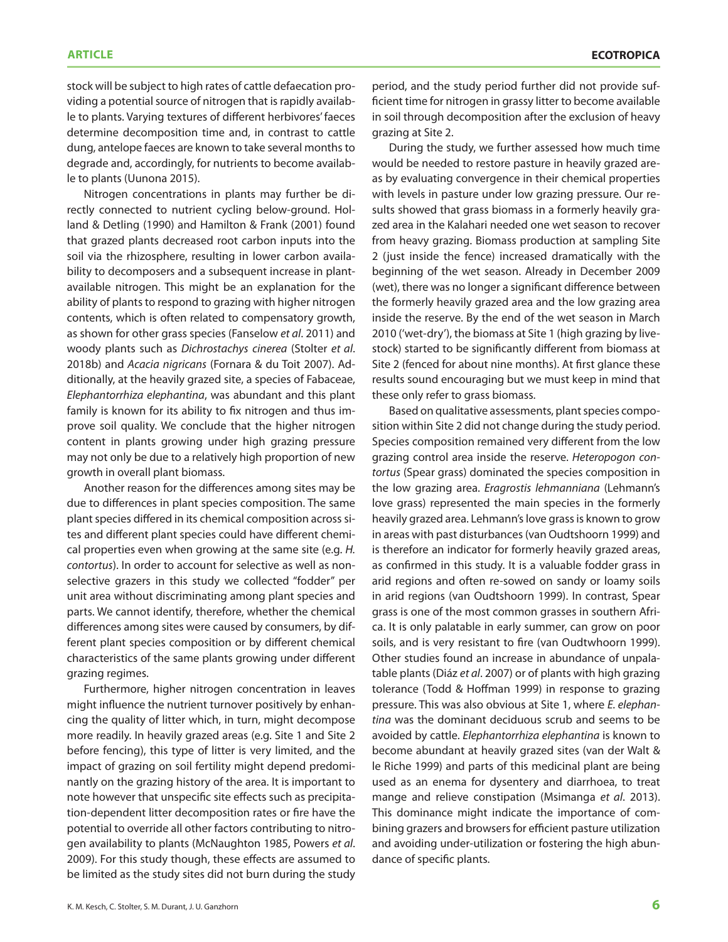stock will be subject to high rates of cattle defaecation providing a potential source of nitrogen that is rapidly available to plants. Varying textures of different herbivores' faeces determine decomposition time and, in contrast to cattle dung, antelope faeces are known to take several months to degrade and, accordingly, for nutrients to become available to plants (Uunona 2015).

Nitrogen concentrations in plants may further be directly connected to nutrient cycling below-ground. Holland & Detling (1990) and Hamilton & Frank (2001) found that grazed plants decreased root carbon inputs into the soil via the rhizosphere, resulting in lower carbon availability to decomposers and a subsequent increase in plantavailable nitrogen. This might be an explanation for the ability of plants to respond to grazing with higher nitrogen contents, which is often related to compensatory growth, as shown for other grass species (Fanselow *et al*. 2011) and woody plants such as *Dichrostachys cinerea* (Stolter *et al*. 2018b) and *Acacia nigricans* (Fornara & du Toit 2007). Additionally, at the heavily grazed site, a species of Fabaceae, *Elephantorrhiza elephantina*, was abundant and this plant family is known for its ability to fix nitrogen and thus improve soil quality. We conclude that the higher nitrogen content in plants growing under high grazing pressure may not only be due to a relatively high proportion of new growth in overall plant biomass.

Another reason for the differences among sites may be due to differences in plant species composition. The same plant species differed in its chemical composition across sites and different plant species could have different chemical properties even when growing at the same site (e.g. *H. contortus*). In order to account for selective as well as nonselective grazers in this study we collected "fodder" per unit area without discriminating among plant species and parts. We cannot identify, therefore, whether the chemical differences among sites were caused by consumers, by different plant species composition or by different chemical characteristics of the same plants growing under different grazing regimes.

Furthermore, higher nitrogen concentration in leaves might influence the nutrient turnover positively by enhancing the quality of litter which, in turn, might decompose more readily. In heavily grazed areas (e.g. Site 1 and Site 2 before fencing), this type of litter is very limited, and the impact of grazing on soil fertility might depend predominantly on the grazing history of the area. It is important to note however that unspecific site effects such as precipitation-dependent litter decomposition rates or fire have the potential to override all other factors contributing to nitrogen availability to plants (McNaughton 1985, Powers *et al*. 2009). For this study though, these effects are assumed to be limited as the study sites did not burn during the study

period, and the study period further did not provide sufficient time for nitrogen in grassy litter to become available in soil through decomposition after the exclusion of heavy grazing at Site 2.

During the study, we further assessed how much time would be needed to restore pasture in heavily grazed areas by evaluating convergence in their chemical properties with levels in pasture under low grazing pressure. Our results showed that grass biomass in a formerly heavily grazed area in the Kalahari needed one wet season to recover from heavy grazing. Biomass production at sampling Site 2 (just inside the fence) increased dramatically with the beginning of the wet season. Already in December 2009 (wet), there was no longer a significant difference between the formerly heavily grazed area and the low grazing area inside the reserve. By the end of the wet season in March 2010 ('wet-dry'), the biomass at Site 1 (high grazing by livestock) started to be significantly different from biomass at Site 2 (fenced for about nine months). At first glance these results sound encouraging but we must keep in mind that these only refer to grass biomass.

Based on qualitative assessments, plant species composition within Site 2 did not change during the study period. Species composition remained very different from the low grazing control area inside the reserve. *Heteropogon contortus* (Spear grass) dominated the species composition in the low grazing area. *Eragrostis lehmanniana* (Lehmann's love grass) represented the main species in the formerly heavily grazed area. Lehmann's love grass is known to grow in areas with past disturbances (van Oudtshoorn 1999) and is therefore an indicator for formerly heavily grazed areas, as confirmed in this study. It is a valuable fodder grass in arid regions and often re-sowed on sandy or loamy soils in arid regions (van Oudtshoorn 1999). In contrast, Spear grass is one of the most common grasses in southern Africa. It is only palatable in early summer, can grow on poor soils, and is very resistant to fire (van Oudtwhoorn 1999). Other studies found an increase in abundance of unpalatable plants (Diáz *et al*. 2007) or of plants with high grazing tolerance (Todd & Hoffman 1999) in response to grazing pressure. This was also obvious at Site 1, where *E. elephantina* was the dominant deciduous scrub and seems to be avoided by cattle. *Elephantorrhiza elephantina* is known to become abundant at heavily grazed sites (van der Walt & le Riche 1999) and parts of this medicinal plant are being used as an enema for dysentery and diarrhoea, to treat mange and relieve constipation (Msimanga *et al*. 2013). This dominance might indicate the importance of combining grazers and browsers for efficient pasture utilization and avoiding under-utilization or fostering the high abundance of specific plants.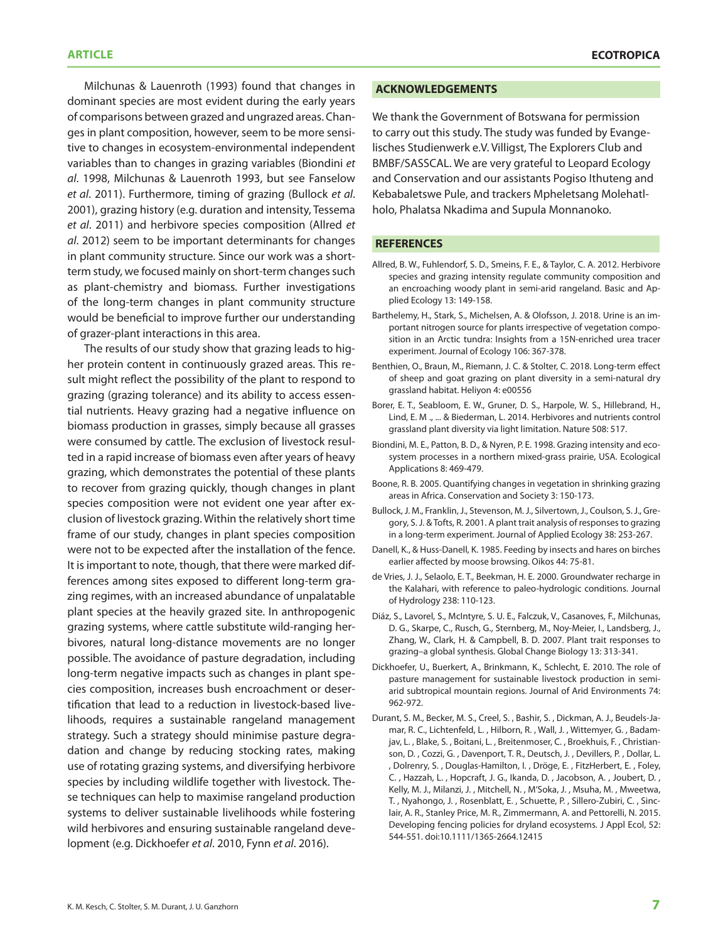Milchunas & Lauenroth (1993) found that changes in dominant species are most evident during the early years of comparisons between grazed and ungrazed areas. Changes in plant composition, however, seem to be more sensitive to changes in ecosystem-environmental independent variables than to changes in grazing variables (Biondini *et al*. 1998, Milchunas & Lauenroth 1993, but see Fanselow *et al*. 2011). Furthermore, timing of grazing (Bullock *et al*. 2001), grazing history (e.g. duration and intensity, Tessema *et al*. 2011) and herbivore species composition (Allred *et al*. 2012) seem to be important determinants for changes in plant community structure. Since our work was a shortterm study, we focused mainly on short-term changes such as plant-chemistry and biomass. Further investigations of the long-term changes in plant community structure would be beneficial to improve further our understanding of grazer-plant interactions in this area.

The results of our study show that grazing leads to higher protein content in continuously grazed areas. This result might reflect the possibility of the plant to respond to grazing (grazing tolerance) and its ability to access essential nutrients. Heavy grazing had a negative influence on biomass production in grasses, simply because all grasses were consumed by cattle. The exclusion of livestock resulted in a rapid increase of biomass even after years of heavy grazing, which demonstrates the potential of these plants to recover from grazing quickly, though changes in plant species composition were not evident one year after exclusion of livestock grazing. Within the relatively short time frame of our study, changes in plant species composition were not to be expected after the installation of the fence. It is important to note, though, that there were marked differences among sites exposed to different long-term grazing regimes, with an increased abundance of unpalatable plant species at the heavily grazed site. In anthropogenic grazing systems, where cattle substitute wild-ranging herbivores, natural long-distance movements are no longer possible. The avoidance of pasture degradation, including long-term negative impacts such as changes in plant species composition, increases bush encroachment or desertification that lead to a reduction in livestock-based livelihoods, requires a sustainable rangeland management strategy. Such a strategy should minimise pasture degradation and change by reducing stocking rates, making use of rotating grazing systems, and diversifying herbivore species by including wildlife together with livestock. These techniques can help to maximise rangeland production systems to deliver sustainable livelihoods while fostering wild herbivores and ensuring sustainable rangeland development (e.g. Dickhoefer *et al*. 2010, Fynn *et al*. 2016).

#### **ACKNOWLEDGEMENTS**

We thank the Government of Botswana for permission to carry out this study. The study was funded by Evangelisches Studienwerk e.V. Villigst, The Explorers Club and BMBF/SASSCAL. We are very grateful to Leopard Ecology and Conservation and our assistants Pogiso Ithuteng and Kebabaletswe Pule, and trackers Mpheletsang Molehatlholo, Phalatsa Nkadima and Supula Monnanoko.

#### **REFERENCES**

- Allred, B. W., Fuhlendorf, S. D., Smeins, F. E., & Taylor, C. A. 2012. Herbivore species and grazing intensity regulate community composition and an encroaching woody plant in semi-arid rangeland. Basic and Applied Ecology 13: 149-158.
- Barthelemy, H., Stark, S., Michelsen, A. & Olofsson, J. 2018. Urine is an important nitrogen source for plants irrespective of vegetation composition in an Arctic tundra: Insights from a 15N-enriched urea tracer experiment. Journal of Ecology 106: 367-378.
- Benthien, O., Braun, M., Riemann, J. C. & Stolter, C. 2018. Long-term effect of sheep and goat grazing on plant diversity in a semi-natural dry grassland habitat. Heliyon 4: e00556
- Borer, E. T., Seabloom, E. W., Gruner, D. S., Harpole, W. S., Hillebrand, H., Lind, E. M ., ... & Biederman, L. 2014. Herbivores and nutrients control grassland plant diversity via light limitation. Nature 508: 517.
- Biondini, M. E., Patton, B. D., & Nyren, P. E. 1998. Grazing intensity and ecosystem processes in a northern mixed-grass prairie, USA. Ecological Applications 8: 469-479.
- Boone, R. B. 2005. Quantifying changes in vegetation in shrinking grazing areas in Africa. Conservation and Society 3: 150-173.
- Bullock, J. M., Franklin, J., Stevenson, M. J., Silvertown, J., Coulson, S. J., Gregory, S. J. & Tofts, R. 2001. A plant trait analysis of responses to grazing in a long‐term experiment. Journal of Applied Ecology 38: 253-267.
- Danell, K., & Huss-Danell, K. 1985. Feeding by insects and hares on birches earlier affected by moose browsing. Oikos 44: 75-81.
- de Vries, J. J., Selaolo, E. T., Beekman, H. E. 2000. Groundwater recharge in the Kalahari, with reference to paleo-hydrologic conditions. Journal of Hydrology 238: 110-123.
- Diáz, S., Lavorel, S., McIntyre, S. U. E., Falczuk, V., Casanoves, F., Milchunas, D. G., Skarpe, C., Rusch, G., Sternberg, M., Noy-Meier, I., Landsberg, J., Zhang, W., Clark, H. & Campbell, B. D. 2007. Plant trait responses to grazing–a global synthesis. Global Change Biology 13: 313-341.
- Dickhoefer, U., Buerkert, A., Brinkmann, K., Schlecht, E. 2010. The role of pasture management for sustainable livestock production in semiarid subtropical mountain regions. Journal of Arid Environments 74: 962-972.
- Durant, S. M., Becker, M. S., Creel, S. , Bashir, S. , Dickman, A. J., Beudels‐Jamar, R. C., Lichtenfeld, L. , Hilborn, R. , Wall, J. , Wittemyer, G. , Badamjav, L. , Blake, S. , Boitani, L. , Breitenmoser, C. , Broekhuis, F. , Christianson, D. , Cozzi, G. , Davenport, T. R., Deutsch, J. , Devillers, P. , Dollar, L. , Dolrenry, S. , Douglas‐Hamilton, I. , Dröge, E. , FitzHerbert, E. , Foley, C. , Hazzah, L. , Hopcraft, J. G., Ikanda, D. , Jacobson, A. , Joubert, D. , Kelly, M. J., Milanzi, J. , Mitchell, N. , M'Soka, J. , Msuha, M. , Mweetwa, T. , Nyahongo, J. , Rosenblatt, E. , Schuette, P. , Sillero‐Zubiri, C. , Sinclair, A. R., Stanley Price, M. R., Zimmermann, A. and Pettorelli, N. 2015. Developing fencing policies for dryland ecosystems. J Appl Ecol, 52: 544-551. doi:10.1111/1365-2664.12415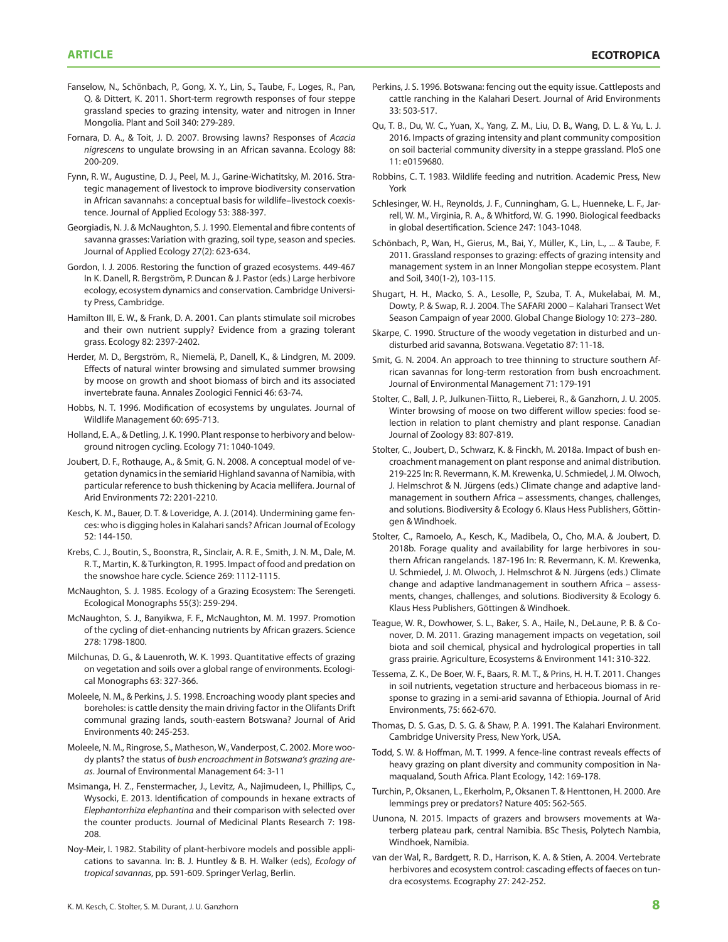- Fanselow, N., Schönbach, P., Gong, X. Y., Lin, S., Taube, F., Loges, R., Pan, Q. & Dittert, K. 2011. Short-term regrowth responses of four steppe grassland species to grazing intensity, water and nitrogen in Inner Mongolia. Plant and Soil 340: 279-289.
- Fornara, D. A., & Toit, J. D. 2007. Browsing lawns? Responses of *Acacia nigrescens* to ungulate browsing in an African savanna. Ecology 88: 200-209.
- Fynn, R. W., Augustine, D. J., Peel, M. J., Garine‐Wichatitsky, M. 2016. Strategic management of livestock to improve biodiversity conservation in African savannahs: a conceptual basis for wildlife–livestock coexistence. Journal of Applied Ecology 53: 388-397.
- Georgiadis, N. J. & McNaughton, S. J. 1990. Elemental and fibre contents of savanna grasses: Variation with grazing, soil type, season and species. Journal of Applied Ecology 27(2): 623-634.
- Gordon, I. J. 2006. Restoring the function of grazed ecosystems. 449-467 In K. Danell, R. Bergström, P. Duncan & J. Pastor (eds.) Large herbivore ecology, ecosystem dynamics and conservation. Cambridge University Press, Cambridge.
- Hamilton III, E. W., & Frank, D. A. 2001. Can plants stimulate soil microbes and their own nutrient supply? Evidence from a grazing tolerant grass. Ecology 82: 2397-2402.
- Herder, M. D., Bergström, R., Niemelä, P., Danell, K., & Lindgren, M. 2009. Effects of natural winter browsing and simulated summer browsing by moose on growth and shoot biomass of birch and its associated invertebrate fauna. Annales Zoologici Fennici 46: 63-74.
- Hobbs, N. T. 1996. Modification of ecosystems by ungulates. Journal of Wildlife Management 60: 695-713.
- Holland, E. A., & Detling, J. K. 1990. Plant response to herbivory and belowground nitrogen cycling. Ecology 71: 1040-1049.
- Joubert, D. F., Rothauge, A., & Smit, G. N. 2008. A conceptual model of vegetation dynamics in the semiarid Highland savanna of Namibia, with particular reference to bush thickening by Acacia mellifera. Journal of Arid Environments 72: 2201-2210.
- Kesch, K. M., Bauer, D. T. & Loveridge, A. J. (2014). Undermining game fences: who is digging holes in Kalahari sands? African Journal of Ecology 52: 144-150.
- Krebs, C. J., Boutin, S., Boonstra, R., Sinclair, A. R. E., Smith, J. N. M., Dale, M. R. T., Martin, K. & Turkington, R. 1995. Impact of food and predation on the snowshoe hare cycle. Science 269: 1112-1115.
- McNaughton, S. J. 1985. Ecology of a Grazing Ecosystem: The Serengeti. Ecological Monographs 55(3): 259-294.
- McNaughton, S. J., Banyikwa, F. F., McNaughton, M. M. 1997. Promotion of the cycling of diet-enhancing nutrients by African grazers. Science 278: 1798-1800.
- Milchunas, D. G., & Lauenroth, W. K. 1993. Quantitative effects of grazing on vegetation and soils over a global range of environments. Ecological Monographs 63: 327-366.
- Moleele, N. M., & Perkins, J. S. 1998. Encroaching woody plant species and boreholes: is cattle density the main driving factor in the Olifants Drift communal grazing lands, south-eastern Botswana? Journal of Arid Environments 40: 245-253.
- Moleele, N. M., Ringrose, S., Matheson, W., Vanderpost, C. 2002. More woody plants? the status of *bush encroachment in Botswana's grazing areas*. Journal of Environmental Management 64: 3-11
- Msimanga, H. Z., Fenstermacher, J., Levitz, A., Najimudeen, I., Phillips, C., Wysocki, E. 2013. Identification of compounds in hexane extracts of *Elephantorrhiza elephantina* and their comparison with selected over the counter products. Journal of Medicinal Plants Research 7: 198- 208.
- Noy-Meir, I. 1982. Stability of plant-herbivore models and possible applications to savanna. In: B. J. Huntley & B. H. Walker (eds), *Ecology of tropical savannas*, pp. 591-609. Springer Verlag, Berlin.
- Perkins, J. S. 1996. Botswana: fencing out the equity issue. Cattleposts and cattle ranching in the Kalahari Desert. Journal of Arid Environments 33: 503-517.
- Qu, T. B., Du, W. C., Yuan, X., Yang, Z. M., Liu, D. B., Wang, D. L. & Yu, L. J. 2016. Impacts of grazing intensity and plant community composition on soil bacterial community diversity in a steppe grassland. PloS one 11: e0159680.
- Robbins, C. T. 1983. Wildlife feeding and nutrition. Academic Press, New York
- Schlesinger, W. H., Reynolds, J. F., Cunningham, G. L., Huenneke, L. F., Jarrell, W. M., Virginia, R. A., & Whitford, W. G. 1990. Biological feedbacks in global desertification. Science 247: 1043-1048.
- Schönbach, P., Wan, H., Gierus, M., Bai, Y., Müller, K., Lin, L., ... & Taube, F. 2011. Grassland responses to grazing: effects of grazing intensity and management system in an Inner Mongolian steppe ecosystem. Plant and Soil, 340(1-2), 103-115.
- Shugart, H. H., Macko, S. A., Lesolle, P., Szuba, T. A., Mukelabai, M. M., Dowty, P. & Swap, R. J. 2004. The SAFARI 2000 – Kalahari Transect Wet Season Campaign of year 2000. Global Change Biology 10: 273–280.
- Skarpe, C. 1990. Structure of the woody vegetation in disturbed and undisturbed arid savanna, Botswana. Vegetatio 87: 11-18.
- Smit, G. N. 2004. An approach to tree thinning to structure southern African savannas for long-term restoration from bush encroachment. Journal of Environmental Management 71: 179-191
- Stolter, C., Ball, J. P., Julkunen-Tiitto, R., Lieberei, R., & Ganzhorn, J. U. 2005. Winter browsing of moose on two different willow species: food selection in relation to plant chemistry and plant response. Canadian Journal of Zoology 83: 807-819.
- Stolter, C., Joubert, D., Schwarz, K. & Finckh, M. 2018a. Impact of bush encroachment management on plant response and animal distribution. 219-225 In: R. Revermann, K. M. Krewenka, U. Schmiedel, J. M. Olwoch, J. Helmschrot & N. Jürgens (eds.) Climate change and adaptive landmanagement in southern Africa – assessments, changes, challenges, and solutions. Biodiversity & Ecology 6. Klaus Hess Publishers, Göttingen & Windhoek.
- Stolter, C., Ramoelo, A., Kesch, K., Madibela, O., Cho, M.A. & Joubert, D. 2018b. Forage quality and availability for large herbivores in southern African rangelands. 187-196 In: R. Revermann, K. M. Krewenka, U. Schmiedel, J. M. Olwoch, J. Helmschrot & N. Jürgens (eds.) Climate change and adaptive landmanagement in southern Africa – assessments, changes, challenges, and solutions. Biodiversity & Ecology 6. Klaus Hess Publishers, Göttingen & Windhoek.
- Teague, W. R., Dowhower, S. L., Baker, S. A., Haile, N., DeLaune, P. B. & Conover, D. M. 2011. Grazing management impacts on vegetation, soil biota and soil chemical, physical and hydrological properties in tall grass prairie. Agriculture, Ecosystems & Environment 141: 310-322.
- Tessema, Z. K., De Boer, W. F., Baars, R. M. T., & Prins, H. H. T. 2011. Changes in soil nutrients, vegetation structure and herbaceous biomass in response to grazing in a semi-arid savanna of Ethiopia. Journal of Arid Environments, 75: 662-670.
- Thomas, D. S. G.as, D. S. G. & Shaw, P. A. 1991. The Kalahari Environment. Cambridge University Press, New York, USA.
- Todd, S. W. & Hoffman, M. T. 1999. A fence-line contrast reveals effects of heavy grazing on plant diversity and community composition in Namaqualand, South Africa. Plant Ecology, 142: 169-178.
- Turchin, P., Oksanen, L., Ekerholm, P., Oksanen T. & Henttonen, H. 2000. Are lemmings prey or predators? Nature 405: 562-565.
- Uunona, N. 2015. Impacts of grazers and browsers movements at Waterberg plateau park, central Namibia. BSc Thesis, Polytech Nambia, Windhoek, Namibia.
- van der Wal, R., Bardgett, R. D., Harrison, K. A. & Stien, A. 2004. Vertebrate herbivores and ecosystem control: cascading effects of faeces on tundra ecosystems. Ecography 27: 242-252.